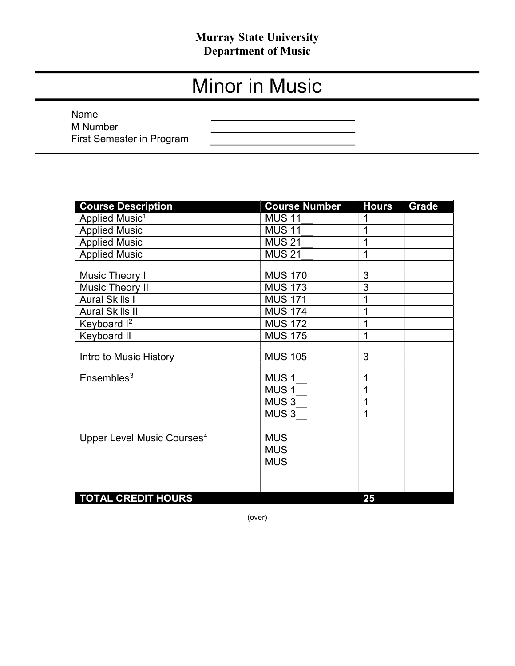## Murray State University Department of Music

# Minor in Music

 Name M Number First Semester in Program

| <b>Course Description</b>              | <b>Course Number</b> | <b>Hours</b> | <b>Grade</b> |
|----------------------------------------|----------------------|--------------|--------------|
| Applied Music <sup>1</sup>             | <b>MUS 11</b>        | 1            |              |
| <b>Applied Music</b>                   | <b>MUS 11</b>        | 1            |              |
| <b>Applied Music</b>                   | <b>MUS 21</b>        | 1            |              |
| <b>Applied Music</b>                   | <b>MUS 21</b>        | 1            |              |
|                                        |                      |              |              |
| Music Theory I                         | <b>MUS 170</b>       | 3            |              |
| <b>Music Theory II</b>                 | <b>MUS 173</b>       | 3            |              |
| <b>Aural Skills I</b>                  | <b>MUS 171</b>       | 1            |              |
| <b>Aural Skills II</b>                 | <b>MUS 174</b>       | 1            |              |
| Keyboard I <sup>2</sup>                | <b>MUS 172</b>       | 1            |              |
| Keyboard II                            | <b>MUS 175</b>       | 1            |              |
|                                        |                      |              |              |
| Intro to Music History                 | <b>MUS 105</b>       | 3            |              |
|                                        |                      |              |              |
| Ensembles <sup>3</sup>                 | MUS <sub>1</sub>     | 1            |              |
|                                        | MUS <sub>1</sub>     | 1            |              |
|                                        | MUS <sub>3</sub>     | 1            |              |
|                                        | MUS <sub>3</sub>     | 1            |              |
|                                        |                      |              |              |
| Upper Level Music Courses <sup>4</sup> | <b>MUS</b>           |              |              |
|                                        | <b>MUS</b>           |              |              |
|                                        | <b>MUS</b>           |              |              |
|                                        |                      |              |              |
|                                        |                      |              |              |
| <b>TOTAL CREDIT HOURS</b>              |                      | 25           |              |

(over)